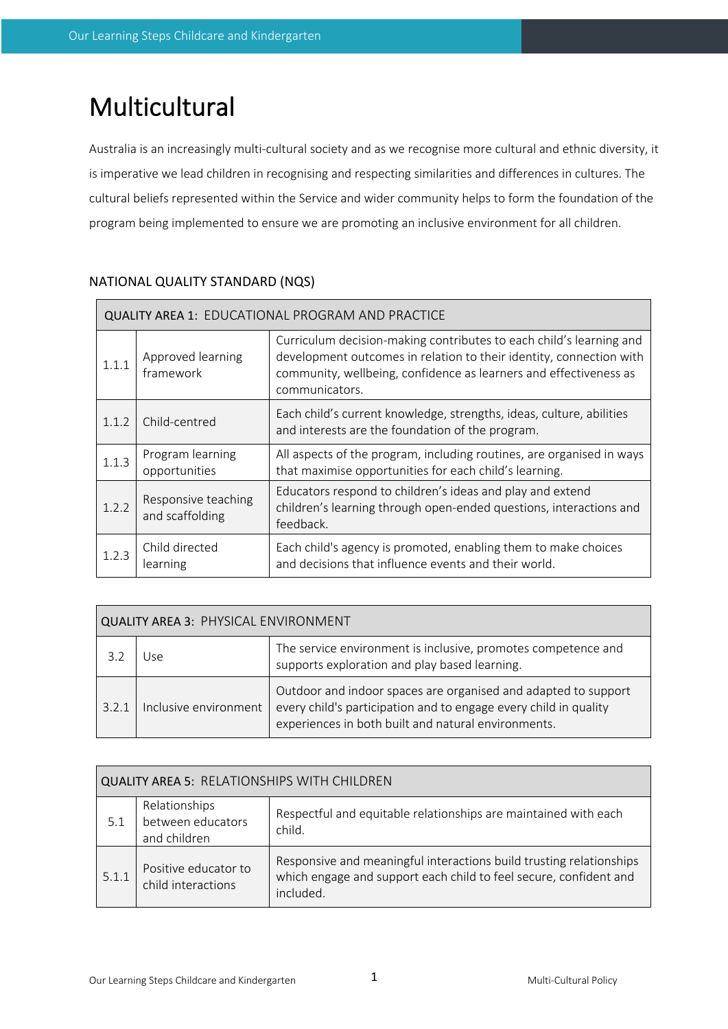# Multicultural

Australia is an increasingly multi-cultural society and as we recognise more cultural and ethnic diversity, it is imperative we lead children in recognising and respecting similarities and differences in cultures. The cultural beliefs represented within the Service and wider community helps to form the foundation of the program being implemented to ensure we are promoting an inclusive environment for all children.

| <b>QUALITY AREA 1: EDUCATIONAL PROGRAM AND PRACTICE</b> |                                        |                                                                                                                                                                                                                                   |  |
|---------------------------------------------------------|----------------------------------------|-----------------------------------------------------------------------------------------------------------------------------------------------------------------------------------------------------------------------------------|--|
| 1.1.1                                                   | Approved learning<br>framework         | Curriculum decision-making contributes to each child's learning and<br>development outcomes in relation to their identity, connection with<br>community, wellbeing, confidence as learners and effectiveness as<br>communicators. |  |
| 1.1.2                                                   | Child-centred                          | Each child's current knowledge, strengths, ideas, culture, abilities<br>and interests are the foundation of the program.                                                                                                          |  |
| 1.1.3                                                   | Program learning<br>opportunities      | All aspects of the program, including routines, are organised in ways<br>that maximise opportunities for each child's learning.                                                                                                   |  |
| 1.2.2                                                   | Responsive teaching<br>and scaffolding | Educators respond to children's ideas and play and extend<br>children's learning through open-ended questions, interactions and<br>feedback.                                                                                      |  |
| 1.2.3                                                   | Child directed<br>learning             | Each child's agency is promoted, enabling them to make choices<br>and decisions that influence events and their world.                                                                                                            |  |

# NATIONAL QUALITY STANDARD (NQS)

| <b>QUALITY AREA 3: PHYSICAL ENVIRONMENT</b>                                           |     |                                                                                                                                    |  |
|---------------------------------------------------------------------------------------|-----|------------------------------------------------------------------------------------------------------------------------------------|--|
| 3.2                                                                                   | Jse | The service environment is inclusive, promotes competence and<br>supports exploration and play based learning.                     |  |
| Inclusive environment<br>3.2.1<br>experiences in both built and natural environments. |     | Outdoor and indoor spaces are organised and adapted to support<br>every child's participation and to engage every child in quality |  |

| <b>QUALITY AREA 5: RELATIONSHIPS WITH CHILDREN</b> |                                                    |                                                                                                                                                       |  |
|----------------------------------------------------|----------------------------------------------------|-------------------------------------------------------------------------------------------------------------------------------------------------------|--|
| 5.1                                                | Relationships<br>between educators<br>and children | Respectful and equitable relationships are maintained with each<br>child.                                                                             |  |
| 5.1.1                                              | Positive educator to<br>child interactions         | Responsive and meaningful interactions build trusting relationships<br>which engage and support each child to feel secure, confident and<br>included. |  |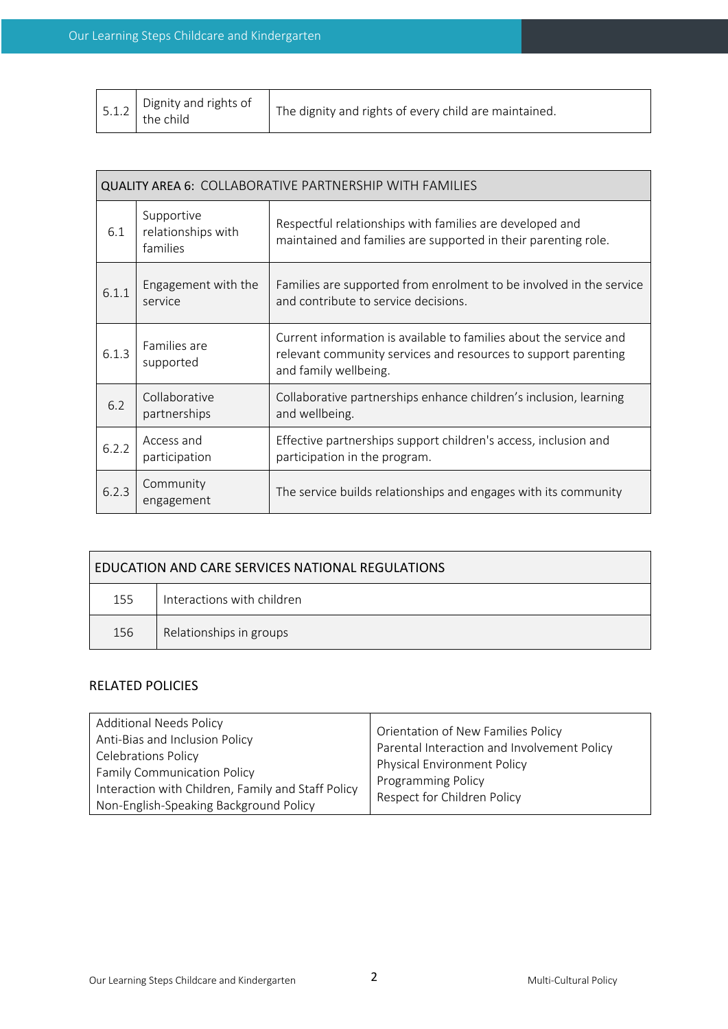|  | $\left\lceil \begin{array}{c} 5.1.2 \\ \end{array} \right\rceil$ Dignity and rights of | The dignity and rights of every child are maintained. |
|--|----------------------------------------------------------------------------------------|-------------------------------------------------------|
|--|----------------------------------------------------------------------------------------|-------------------------------------------------------|

| <b>QUALITY AREA 6: COLLABORATIVE PARTNERSHIP WITH FAMILIES</b> |                                              |                                                                                                                                                               |  |
|----------------------------------------------------------------|----------------------------------------------|---------------------------------------------------------------------------------------------------------------------------------------------------------------|--|
| 6.1                                                            | Supportive<br>relationships with<br>families | Respectful relationships with families are developed and<br>maintained and families are supported in their parenting role.                                    |  |
| 6.1.1                                                          | Engagement with the<br>service               | Families are supported from enrolment to be involved in the service<br>and contribute to service decisions.                                                   |  |
| 6.1.3                                                          | Families are<br>supported                    | Current information is available to families about the service and<br>relevant community services and resources to support parenting<br>and family wellbeing. |  |
| 6.2                                                            | Collaborative<br>partnerships                | Collaborative partnerships enhance children's inclusion, learning<br>and wellbeing.                                                                           |  |
| 6.2.2                                                          | Access and<br>participation                  | Effective partnerships support children's access, inclusion and<br>participation in the program.                                                              |  |
| 6.2.3                                                          | Community<br>engagement                      | The service builds relationships and engages with its community                                                                                               |  |

| EDUCATION AND CARE SERVICES NATIONAL REGULATIONS |                            |  |
|--------------------------------------------------|----------------------------|--|
| 155                                              | Interactions with children |  |
| 156                                              | Relationships in groups    |  |

## RELATED POLICIES

| <b>Additional Needs Policy</b><br>Anti-Bias and Inclusion Policy<br><b>Celebrations Policy</b><br><b>Family Communication Policy</b><br>Interaction with Children, Family and Staff Policy<br>Non-English-Speaking Background Policy | Orientation of New Families Policy<br>Parental Interaction and Involvement Policy<br><b>Physical Environment Policy</b><br>Programming Policy<br>Respect for Children Policy |
|--------------------------------------------------------------------------------------------------------------------------------------------------------------------------------------------------------------------------------------|------------------------------------------------------------------------------------------------------------------------------------------------------------------------------|
|--------------------------------------------------------------------------------------------------------------------------------------------------------------------------------------------------------------------------------------|------------------------------------------------------------------------------------------------------------------------------------------------------------------------------|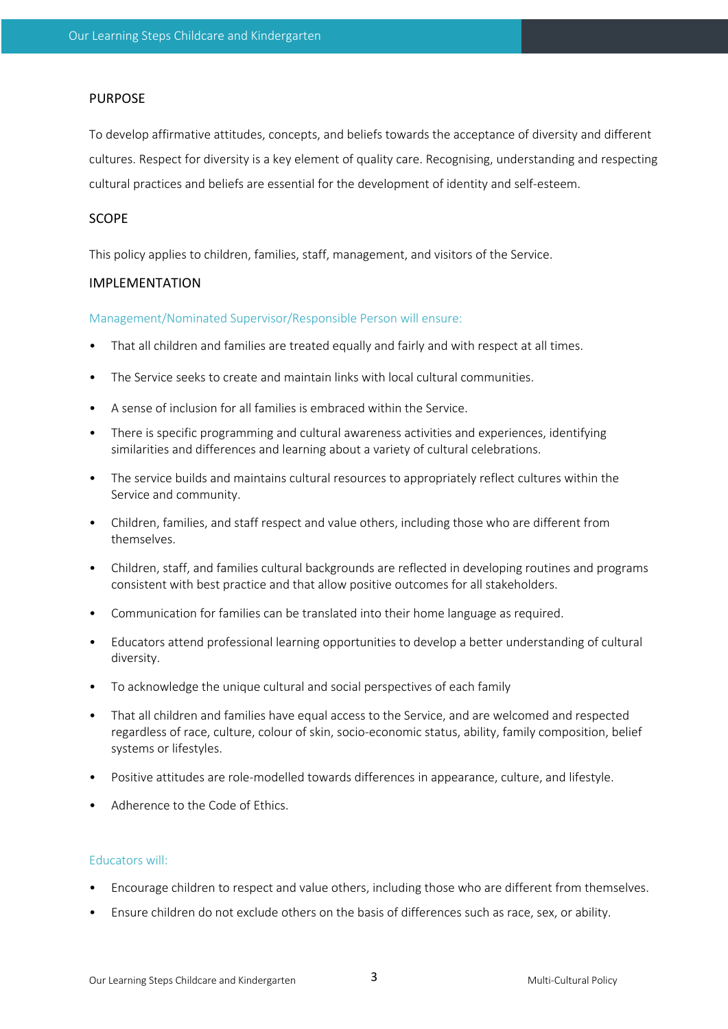### PURPOSE

To develop affirmative attitudes, concepts, and beliefs towards the acceptance of diversity and different cultures. Respect for diversity is a key element of quality care. Recognising, understanding and respecting cultural practices and beliefs are essential for the development of identity and self-esteem.

#### SCOPE

This policy applies to children, families, staff, management, and visitors of the Service.

#### IMPLEMENTATION

Management/Nominated Supervisor/Responsible Person will ensure:

- That all children and families are treated equally and fairly and with respect at all times.
- The Service seeks to create and maintain links with local cultural communities.
- A sense of inclusion for all families is embraced within the Service.
- There is specific programming and cultural awareness activities and experiences, identifying similarities and differences and learning about a variety of cultural celebrations.
- The service builds and maintains cultural resources to appropriately reflect cultures within the Service and community.
- Children, families, and staff respect and value others, including those who are different from themselves.
- Children, staff, and families cultural backgrounds are reflected in developing routines and programs consistent with best practice and that allow positive outcomes for all stakeholders.
- Communication for families can be translated into their home language as required.
- Educators attend professional learning opportunities to develop a better understanding of cultural diversity.
- To acknowledge the unique cultural and social perspectives of each family
- That all children and families have equal access to the Service, and are welcomed and respected regardless of race, culture, colour of skin, socio-economic status, ability, family composition, belief systems or lifestyles.
- Positive attitudes are role-modelled towards differences in appearance, culture, and lifestyle.
- Adherence to the Code of Ethics.

#### Educators will:

- Encourage children to respect and value others, including those who are different from themselves.
- Ensure children do not exclude others on the basis of differences such as race, sex, or ability.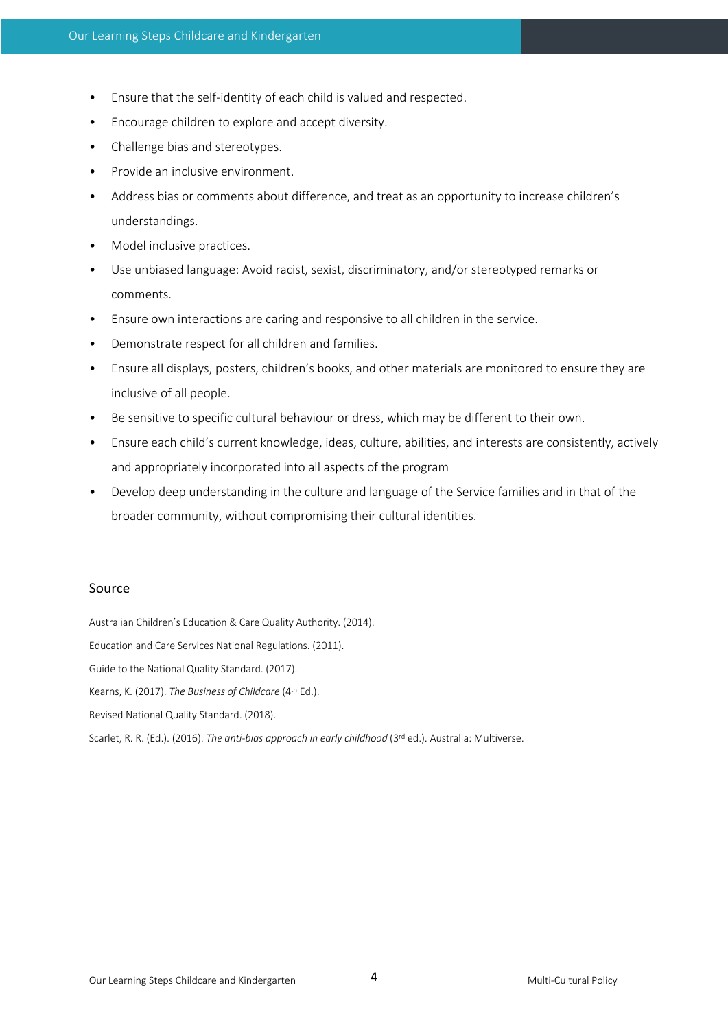- Ensure that the self-identity of each child is valued and respected.
- Encourage children to explore and accept diversity.
- Challenge bias and stereotypes.
- Provide an inclusive environment.
- Address bias or comments about difference, and treat as an opportunity to increase children's understandings.
- Model inclusive practices.
- Use unbiased language: Avoid racist, sexist, discriminatory, and/or stereotyped remarks or comments.
- Ensure own interactions are caring and responsive to all children in the service.
- Demonstrate respect for all children and families.
- Ensure all displays, posters, children's books, and other materials are monitored to ensure they are inclusive of all people.
- Be sensitive to specific cultural behaviour or dress, which may be different to their own.
- Ensure each child's current knowledge, ideas, culture, abilities, and interests are consistently, actively and appropriately incorporated into all aspects of the program
- Develop deep understanding in the culture and language of the Service families and in that of the broader community, without compromising their cultural identities.

#### Source

Australian Children's Education & Care Quality Authority. (2014).

Education and Care Services National Regulations. (2011).

Guide to the National Quality Standard. (2017).

Kearns, K. (2017). *The Business of Childcare* (4th Ed.).

Revised National Quality Standard. (2018).

Scarlet, R. R. (Ed.). (2016). *The anti-bias approach in early childhood* (3<sup>rd</sup> ed.). Australia: Multiverse.